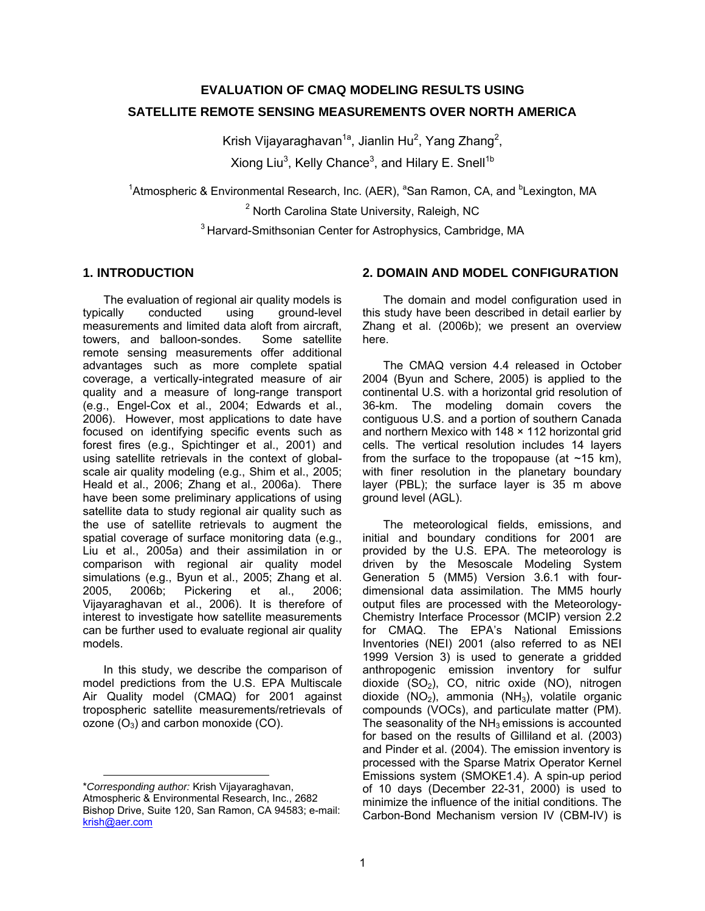# **EVALUATION OF CMAQ MODELING RESULTS USING SATELLITE REMOTE SENSING MEASUREMENTS OVER NORTH AMERICA**

Krish Vijayaraghavan<sup>1a</sup>, Jianlin Hu<sup>2</sup>, Yang Zhang<sup>2</sup>, Xiong Liu<sup>3</sup>, Kelly Chance<sup>3</sup>, and Hilary E. Snell<sup>1b</sup>

<sup>1</sup>Atmospheric & Environmental Research, Inc. (AER), <sup>a</sup>San Ramon, CA, and <sup>b</sup>Lexington, MA

<sup>2</sup> North Carolina State University, Raleigh, NC

<sup>3</sup> Harvard-Smithsonian Center for Astrophysics, Cambridge, MA

#### **1. INTRODUCTION**

The evaluation of regional air quality models is typically conducted using ground-level measurements and limited data aloft from aircraft, towers, and balloon-sondes. Some satellite remote sensing measurements offer additional advantages such as more complete spatial coverage, a vertically-integrated measure of air quality and a measure of long-range transport (e.g., Engel-Cox et al., 2004; Edwards et al., 2006). However, most applications to date have focused on identifying specific events such as forest fires (e.g., Spichtinger et al., 2001) and using satellite retrievals in the context of globalscale air quality modeling (e.g., Shim et al., 2005; Heald et al., 2006; Zhang et al., 2006a). There have been some preliminary applications of using satellite data to study regional air quality such as the use of satellite retrievals to augment the spatial coverage of surface monitoring data (e.g., Liu et al., 2005a) and their assimilation in or comparison with regional air quality model simulations (e.g., Byun et al., 2005; Zhang et al. 2005, 2006b; Pickering et al., 2006; Vijayaraghavan et al., 2006). It is therefore of interest to investigate how satellite measurements can be further used to evaluate regional air quality models.

In this study, we describe the comparison of model predictions from the U.S. EPA Multiscale Air Quality model (CMAQ) for 2001 against tropospheric satellite measurements/retrievals of ozone  $(O_3)$  and carbon monoxide  $(CO)$ .

## **2. DOMAIN AND MODEL CONFIGURATION**

The domain and model configuration used in this study have been described in detail earlier by Zhang et al. (2006b); we present an overview here.

The CMAQ version 4.4 released in October 2004 (Byun and Schere, 2005) is applied to the continental U.S. with a horizontal grid resolution of 36-km. The modeling domain covers the contiguous U.S. and a portion of southern Canada and northern Mexico with 148 × 112 horizontal grid cells. The vertical resolution includes 14 layers from the surface to the tropopause (at  $\sim$ 15 km). with finer resolution in the planetary boundary layer (PBL); the surface layer is 35 m above ground level (AGL).

The meteorological fields, emissions, and initial and boundary conditions for 2001 are provided by the U.S. EPA. The meteorology is driven by the Mesoscale Modeling System Generation 5 (MM5) Version 3.6.1 with fourdimensional data assimilation. The MM5 hourly output files are processed with the Meteorology-Chemistry Interface Processor (MCIP) version 2.2 for CMAQ. The EPA's National Emissions Inventories (NEI) 2001 (also referred to as NEI 1999 Version 3) is used to generate a gridded anthropogenic emission inventory for sulfur dioxide  $(SO<sub>2</sub>)$ , CO, nitric oxide  $(NO)$ , nitrogen dioxide  $(NO<sub>2</sub>)$ , ammonia  $(NH<sub>3</sub>)$ , volatile organic compounds (VOCs), and particulate matter (PM). The seasonality of the  $NH<sub>3</sub>$  emissions is accounted for based on the results of Gilliland et al. (2003) and Pinder et al. (2004). The emission inventory is processed with the Sparse Matrix Operator Kernel Emissions system (SMOKE1.4). A spin-up period of 10 days (December 22-31, 2000) is used to minimize the influence of the initial conditions. The Carbon-Bond Mechanism version IV (CBM-IV) is

<sup>1</sup> \**Corresponding author:* Krish Vijayaraghavan, Atmospheric & Environmental Research, Inc., 2682 Bishop Drive, Suite 120, San Ramon, CA 94583; e-mail: krish@aer.com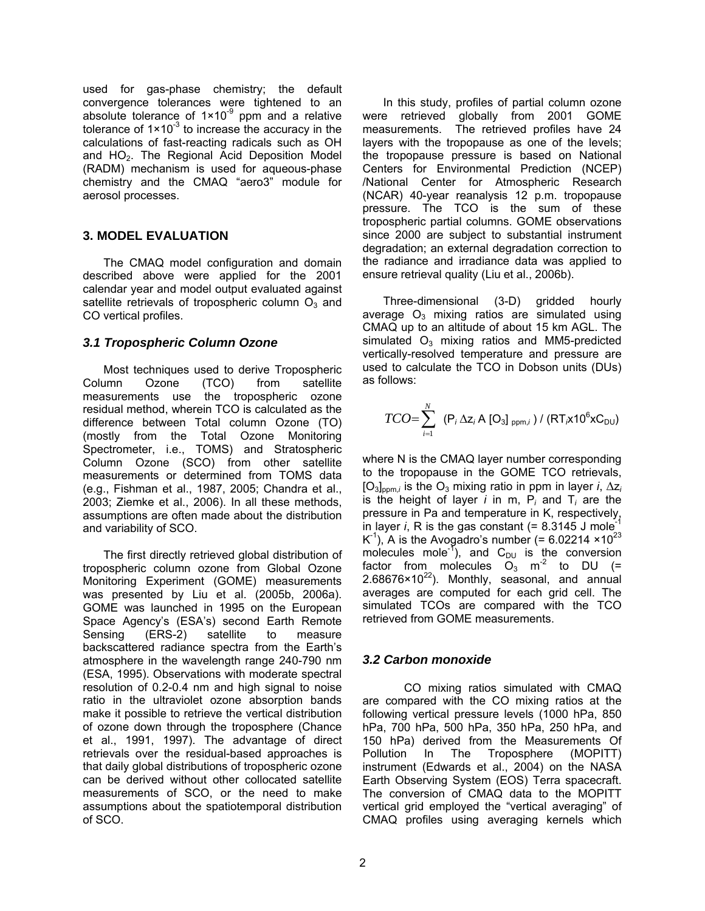used for gas-phase chemistry; the default convergence tolerances were tightened to an absolute tolerance of  $1 \times 10^{-9}$  ppm and a relative tolerance of  $1 \times 10^{-3}$  to increase the accuracy in the calculations of fast-reacting radicals such as OH and HO<sub>2</sub>. The Regional Acid Deposition Model (RADM) mechanism is used for aqueous-phase chemistry and the CMAQ "aero3" module for aerosol processes.

## **3. MODEL EVALUATION**

The CMAQ model configuration and domain described above were applied for the 2001 calendar year and model output evaluated against satellite retrievals of tropospheric column  $O<sub>3</sub>$  and CO vertical profiles.

## *3.1 Tropospheric Column Ozone*

Most techniques used to derive Tropospheric Column Ozone (TCO) from satellite measurements use the tropospheric ozone residual method, wherein TCO is calculated as the difference between Total column Ozone (TO) (mostly from the Total Ozone Monitoring Spectrometer, i.e., TOMS) and Stratospheric Column Ozone (SCO) from other satellite measurements or determined from TOMS data (e.g., Fishman et al., 1987, 2005; Chandra et al., 2003; Ziemke et al., 2006). In all these methods, assumptions are often made about the distribution and variability of SCO.

The first directly retrieved global distribution of tropospheric column ozone from Global Ozone Monitoring Experiment (GOME) measurements was presented by Liu et al. (2005b, 2006a). GOME was launched in 1995 on the European Space Agency's (ESA's) second Earth Remote Sensing (ERS-2) satellite to measure backscattered radiance spectra from the Earth's atmosphere in the wavelength range 240-790 nm (ESA, 1995). Observations with moderate spectral resolution of 0.2-0.4 nm and high signal to noise ratio in the ultraviolet ozone absorption bands make it possible to retrieve the vertical distribution of ozone down through the troposphere (Chance et al., 1991, 1997). The advantage of direct retrievals over the residual-based approaches is that daily global distributions of tropospheric ozone can be derived without other collocated satellite measurements of SCO, or the need to make assumptions about the spatiotemporal distribution of SCO.

In this study, profiles of partial column ozone were retrieved globally from 2001 GOME measurements. The retrieved profiles have 24 layers with the tropopause as one of the levels; the tropopause pressure is based on National Centers for Environmental Prediction (NCEP) /National Center for Atmospheric Research (NCAR) 40-year reanalysis 12 p.m. tropopause pressure. The TCO is the sum of these tropospheric partial columns. GOME observations since 2000 are subject to substantial instrument degradation; an external degradation correction to the radiance and irradiance data was applied to ensure retrieval quality (Liu et al., 2006b).

Three-dimensional (3-D) gridded hourly average  $O_3$  mixing ratios are simulated using CMAQ up to an altitude of about 15 km AGL. The simulated  $O_3$  mixing ratios and MM5-predicted vertically-resolved temperature and pressure are used to calculate the TCO in Dobson units (DUs) as follows:

$$
TCO = \sum_{i=1}^{N} (P_i \Delta z_i A [O_3]_{ppm,i}) / (RT_{i} \times 10^{6} \text{xC}_{DU})
$$

where N is the CMAQ layer number corresponding to the tropopause in the GOME TCO retrievals, [O3]ppm,*i* is the O3 mixing ratio in ppm in layer *i*, ∆z*<sup>i</sup>* is the height of layer  $i$  in m,  $P_i$  and  $T_i$  are the pressure in Pa and temperature in K, respectively, in layer  $i$ , R is the gas constant  $(= 8.3145$  J mole<sup>-1</sup>  $K^{-1}$ ), A is the Avogadro's number (= 6.02214 ×10<sup>23</sup>) molecules mole<sup>-1</sup>), and  $C_{DU}$  is the conversion factor from molecules  $O_3$  m<sup>-2</sup> to DU (=  $2.68676\times10^{22}$ ). Monthly, seasonal, and annual averages are computed for each grid cell. The simulated TCOs are compared with the TCO retrieved from GOME measurements.

#### *3.2 Carbon monoxide*

CO mixing ratios simulated with CMAQ are compared with the CO mixing ratios at the following vertical pressure levels (1000 hPa, 850 hPa, 700 hPa, 500 hPa, 350 hPa, 250 hPa, and 150 hPa) derived from the Measurements Of Pollution In The Troposphere (MOPITT) instrument (Edwards et al., 2004) on the NASA Earth Observing System (EOS) Terra spacecraft. The conversion of CMAQ data to the MOPITT vertical grid employed the "vertical averaging" of CMAQ profiles using averaging kernels which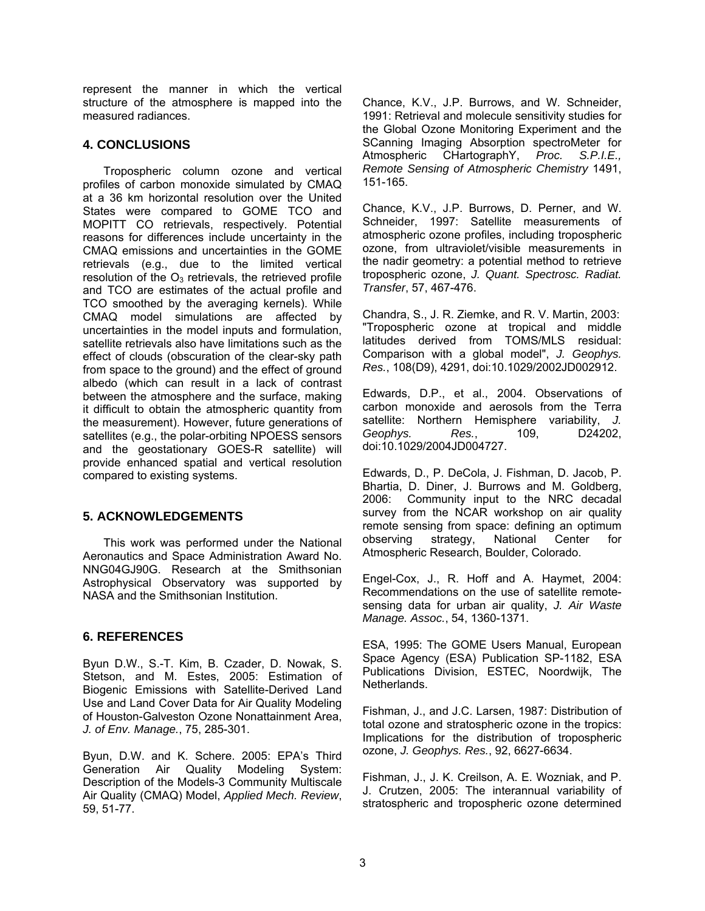represent the manner in which the vertical structure of the atmosphere is mapped into the measured radiances.

## **4. CONCLUSIONS**

Tropospheric column ozone and vertical profiles of carbon monoxide simulated by CMAQ at a 36 km horizontal resolution over the United States were compared to GOME TCO and MOPITT CO retrievals, respectively. Potential reasons for differences include uncertainty in the CMAQ emissions and uncertainties in the GOME retrievals (e.g., due to the limited vertical resolution of the  $O_3$  retrievals, the retrieved profile and TCO are estimates of the actual profile and TCO smoothed by the averaging kernels). While CMAQ model simulations are affected by uncertainties in the model inputs and formulation, satellite retrievals also have limitations such as the effect of clouds (obscuration of the clear-sky path from space to the ground) and the effect of ground albedo (which can result in a lack of contrast between the atmosphere and the surface, making it difficult to obtain the atmospheric quantity from the measurement). However, future generations of satellites (e.g., the polar-orbiting NPOESS sensors and the geostationary GOES-R satellite) will provide enhanced spatial and vertical resolution compared to existing systems.

# **5. ACKNOWLEDGEMENTS**

This work was performed under the National Aeronautics and Space Administration Award No. NNG04GJ90G. Research at the Smithsonian Astrophysical Observatory was supported by NASA and the Smithsonian Institution.

#### **6. REFERENCES**

Byun D.W., S.-T. Kim, B. Czader, D. Nowak, S. Stetson, and M. Estes, 2005: Estimation of Biogenic Emissions with Satellite-Derived Land Use and Land Cover Data for Air Quality Modeling of Houston-Galveston Ozone Nonattainment Area, *J. of Env. Manage.*, 75, 285-301.

Byun, D.W. and K. Schere. 2005: EPA's Third Generation Air Quality Modeling System: Description of the Models-3 Community Multiscale Air Quality (CMAQ) Model, *Applied Mech. Review*, 59, 51-77.

Chance, K.V., J.P. Burrows, and W. Schneider, 1991: Retrieval and molecule sensitivity studies for the Global Ozone Monitoring Experiment and the SCanning Imaging Absorption spectroMeter for Atmospheric CHartographY, *Proc. S.P.I.E., Remote Sensing of Atmospheric Chemistry* 1491, 151-165.

Chance, K.V., J.P. Burrows, D. Perner, and W. Schneider, 1997: Satellite measurements of atmospheric ozone profiles, including tropospheric ozone, from ultraviolet/visible measurements in the nadir geometry: a potential method to retrieve tropospheric ozone, *J. Quant. Spectrosc. Radiat. Transfer*, 57, 467-476.

Chandra, S., J. R. Ziemke, and R. V. Martin, 2003: "Tropospheric ozone at tropical and middle latitudes derived from TOMS/MLS residual: Comparison with a global model", *J. Geophys. Res.*, 108(D9), 4291, doi:10.1029/2002JD002912.

Edwards, D.P., et al., 2004. Observations of carbon monoxide and aerosols from the Terra satellite: Northern Hemisphere variability, *J. Geophys. Res.*, 109, D24202, doi:10.1029/2004JD004727.

Edwards, D., P. DeCola, J. Fishman, D. Jacob, P. Bhartia, D. Diner, J. Burrows and M. Goldberg, 2006: Community input to the NRC decadal survey from the NCAR workshop on air quality remote sensing from space: defining an optimum observing strategy, National Center for Atmospheric Research, Boulder, Colorado.

Engel-Cox, J., R. Hoff and A. Haymet, 2004: Recommendations on the use of satellite remotesensing data for urban air quality, *J. Air Waste Manage. Assoc.*, 54, 1360-1371.

ESA, 1995: The GOME Users Manual, European Space Agency (ESA) Publication SP-1182, ESA Publications Division, ESTEC, Noordwijk, The Netherlands.

Fishman, J., and J.C. Larsen, 1987: Distribution of total ozone and stratospheric ozone in the tropics: Implications for the distribution of tropospheric ozone, *J. Geophys. Res.*, 92, 6627-6634.

Fishman, J., J. K. Creilson, A. E. Wozniak, and P. J. Crutzen, 2005: The interannual variability of stratospheric and tropospheric ozone determined